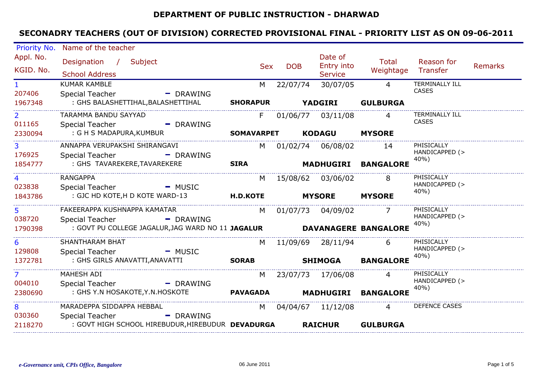#### **DEPARTMENT OF PUBLIC INSTRUCTION - DHARWAD**

| Priority No.   | Name of the teacher                                                           |                   |            |                              |                  |                        |                |
|----------------|-------------------------------------------------------------------------------|-------------------|------------|------------------------------|------------------|------------------------|----------------|
| Appl. No.      | Designation / Subject                                                         |                   |            | Date of                      | Total            | Reason for             |                |
| KGID. No.      | <b>School Address</b>                                                         | <b>Sex</b>        | <b>DOB</b> | Entry into<br><b>Service</b> | Weightage        | Transfer               | <b>Remarks</b> |
| $\mathbf{1}$   | <b>KUMAR KAMBLE</b>                                                           | M                 | 22/07/74   | 30/07/05                     | $\Delta$         | <b>TERMINALLY ILL</b>  |                |
| 207406         | Special Teacher<br>- DRAWING                                                  |                   |            |                              |                  | <b>CASES</b>           |                |
| 1967348        | : GHS BALASHETTIHAL, BALASHETTIHAL                                            | <b>SHORAPUR</b>   |            | <b>YADGIRI</b>               | <b>GULBURGA</b>  |                        |                |
| $\overline{2}$ | TARAMMA BANDU SAYYAD                                                          | F.                |            | 01/06/77 03/11/08            | 4                | <b>TERMINALLY ILL</b>  |                |
| 011165         | <b>Special Teacher</b><br>- DRAWING                                           |                   |            |                              |                  | <b>CASES</b>           |                |
| 2330094        | : G H S MADAPURA, KUMBUR                                                      | <b>SOMAVARPET</b> |            | <b>KODAGU</b>                | <b>MYSORE</b>    |                        |                |
| $\overline{3}$ | ANNAPPA VERUPAKSHI SHIRANGAVI                                                 |                   |            | M 01/02/74 06/08/02          | 14               | PHISICALLY             |                |
| 176925         | <b>Special Teacher</b><br>- DRAWING                                           |                   |            |                              |                  | HANDICAPPED (><br>40%) |                |
| 1854777        | : GHS TAVAREKERE, TAVAREKERE                                                  | <b>SIRA</b>       |            | <b>MADHUGIRI</b>             | <b>BANGALORE</b> |                        |                |
|                | <b>RANGAPPA</b>                                                               | M                 |            | 15/08/62 03/06/02            | -8               | PHISICALLY             |                |
| 023838         | Special Teacher<br>- MUSIC                                                    |                   |            |                              |                  | HANDICAPPED (><br>40%) |                |
| 1843786        | : GJC HD KOTE, H D KOTE WARD-13                                               | <b>H.D.KOTE</b>   |            | <b>MYSORE</b>                | <b>MYSORE</b>    |                        |                |
| 5.             | FAKEERAPPA KUSHNAPPA KAMATAR                                                  |                   |            | M 01/07/73 04/09/02          |                  | PHISICALLY             |                |
| 038720         | Special Teacher<br>- DRAWING                                                  |                   |            |                              |                  | HANDICAPPED (><br>40%) |                |
| 1790398        | : GOVT PU COLLEGE JAGALUR, JAG WARD NO 11 JAGALUR <b>DAVANAGERE BANGALORE</b> |                   |            |                              |                  |                        |                |
| 6              | SHANTHARAM BHAT                                                               |                   |            | M 11/09/69 28/11/94          | 6                | PHISICALLY             |                |
| 129808         | Special Teacher<br>- MUSIC                                                    |                   |            |                              |                  | HANDICAPPED (><br>40%) |                |
| 1372781        | : GHS GIRLS ANAVATTI, ANAVATTI                                                | <b>SORAB</b>      |            | <b>SHIMOGA</b>               | <b>BANGALORE</b> |                        |                |
| $\overline{7}$ | MAHESH ADI                                                                    | M                 |            | 23/07/73 17/06/08            | 4                | PHISICALLY             |                |
| 004010         | <b>Special Teacher</b><br>- DRAWING                                           |                   |            |                              |                  | HANDICAPPED (><br>40%) |                |
| 2380690        | : GHS Y.N HOSAKOTE, Y.N. HOSKOTE                                              | <b>PAVAGADA</b>   |            | <b>MADHUGIRI</b>             | <b>BANGALORE</b> |                        |                |
| 8              | MARADEPPA SIDDAPPA HEBBAL                                                     | M                 |            | 04/04/67  11/12/08           | $\overline{4}$   | <b>DEFENCE CASES</b>   |                |
| 030360         | <b>Special Teacher</b><br>- DRAWING                                           |                   |            |                              |                  |                        |                |
| 2118270        | : GOVT HIGH SCHOOL HIREBUDUR, HIREBUDUR DEVADURGA                             |                   |            | <b>RAICHUR</b>               | <b>GULBURGA</b>  |                        |                |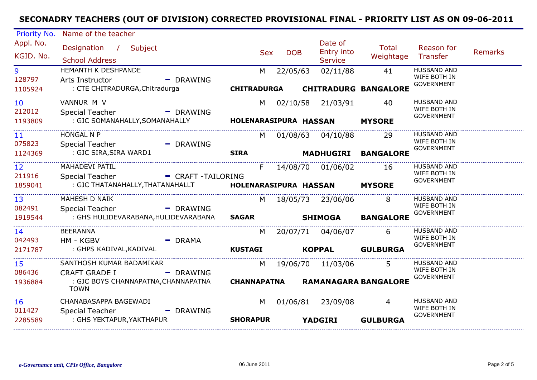| Priority No.              | Name of the teacher                                                  |                        |                    |            |            |                                         |                             |                                                         |         |
|---------------------------|----------------------------------------------------------------------|------------------------|--------------------|------------|------------|-----------------------------------------|-----------------------------|---------------------------------------------------------|---------|
| Appl. No.<br>KGID. No.    | Designation / Subject<br><b>School Address</b>                       |                        |                    | <b>Sex</b> | <b>DOB</b> | Date of<br>Entry into<br><b>Service</b> | Total<br>Weightage          | Reason for<br>Transfer                                  | Remarks |
| 9<br>128797               | HEMANTH K DESHPANDE<br>Arts Instructor                               | - DRAWING              | M                  |            | 22/05/63   | 02/11/88                                | 41                          | <b>HUSBAND AND</b><br>WIFE BOTH IN<br><b>GOVERNMENT</b> |         |
| 1105924                   | : CTE CHITRADURGA, Chitradurga                                       |                        | <b>CHITRADURGA</b> |            |            |                                         | <b>CHITRADURG BANGALORE</b> |                                                         |         |
| 10 <sup>°</sup><br>212012 | VANNUR M V<br>Special Teacher - - - - - DRAWING                      |                        |                    | M.         |            | 02/10/58 21/03/91                       | 40                          | <b>HUSBAND AND</b><br>WIFE BOTH IN<br>GOVERNMENT        |         |
| 1193809                   |                                                                      |                        |                    |            |            |                                         | <b>MYSORE</b>               |                                                         |         |
| 11 <sup>1</sup><br>075823 | <b>HONGAL N P</b><br>Special Teacher                                 | - DRAWING              |                    | M.         |            | 01/08/63 04/10/88                       | 29                          | <b>HUSBAND AND</b><br>WIFE BOTH IN                      |         |
| 1124369                   | : GJC SIRA, SIRA WARD1                                               |                        | <b>SIRA</b>        |            |            |                                         | <b>MADHUGIRI BANGALORE</b>  | <b>GOVERNMENT</b>                                       |         |
| 12<br>211916              | MAHADEVI PATIL<br>Special Teacher                                    | - CRAFT -TAILORING     | F.                 |            |            | 14/08/70  01/06/02                      | - 16                        | <b>HUSBAND AND</b><br>WIFE BOTH IN                      |         |
| 1859041                   | : GJC THATANAHALLY, THATANAHALLT <b>HOLENARASIPURA HASSAN MYSORE</b> |                        |                    |            |            |                                         |                             | <b>GOVERNMENT</b>                                       |         |
| 13<br>082491              | <b>MAHESH D NAIK</b><br>Special Teacher                              | - DRAWING              |                    |            |            | M 18/05/73 23/06/06                     | 8                           | <b>HUSBAND AND</b><br>WIFE BOTH IN                      |         |
| 1919544                   | : GHS HULIDEVARABANA,HULIDEVARABANA                                  |                        | <b>SAGAR</b>       |            |            | <b>SHIMOGA</b>                          | <b>BANGALORE</b>            | <b>GOVERNMENT</b>                                       |         |
| 14<br>042493              | <b>BEERANNA</b><br>HM - KGBV                                         | $-$ DRAMA              |                    |            |            | M 20/07/71 04/06/07                     | 6                           | <b>HUSBAND AND</b><br>WIFE BOTH IN                      |         |
| 2171787                   | : GHPS KADIVAL,KADIVAL                                               |                        | <b>KUSTAGI</b>     |            |            | <b>KOPPAL</b>                           | <b>GULBURGA</b>             | <b>GOVERNMENT</b>                                       |         |
| 15<br>086436              | SANTHOSH KUMAR BADAMIKAR<br><b>CRAFT GRADE I</b>                     | $\blacksquare$ DRAWING |                    | M          |            | 19/06/70 11/03/06                       | 5                           | HUSBAND AND<br>WIFE BOTH IN                             |         |
| 1936884                   | : GJC BOYS CHANNAPATNA, CHANNAPATNA<br><b>TOWN</b>                   |                        | CHANNAPATNA        |            |            |                                         | <b>RAMANAGARA BANGALORE</b> | <b>GOVERNMENT</b>                                       |         |
| 16                        | CHANABASAPPA BAGEWADI                                                |                        | M                  |            |            | 01/06/81 23/09/08                       | $\overline{4}$              | <b>HUSBAND AND</b>                                      |         |
| 011427<br>2285589         | Special Teacher<br>: GHS YEKTAPUR, YAKTHAPUR                         | - DRAWING              | <b>SHORAPUR</b>    |            |            | <b>YADGIRI</b>                          | <b>GULBURGA</b>             | WIFE BOTH IN<br><b>GOVERNMENT</b>                       |         |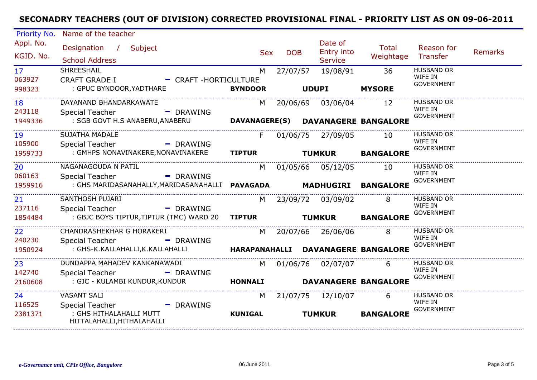| Priority No.                        | Name of the teacher                                                                              |                     |            |                                         |                                          |                                                   |                |
|-------------------------------------|--------------------------------------------------------------------------------------------------|---------------------|------------|-----------------------------------------|------------------------------------------|---------------------------------------------------|----------------|
| Appl. No.<br>KGID. No.              | Designation / Subject<br><b>School Address</b>                                                   | <b>Sex</b>          | <b>DOB</b> | Date of<br>Entry into<br><b>Service</b> | <b>Total</b><br>Weightage                | Reason for<br>Transfer                            | <b>Remarks</b> |
| 17 <sup>2</sup><br>063927<br>998323 | SHREESHAIL<br><b>CRAFT GRADE I</b><br>- CRAFT-HORTICULTURE<br>: GPUC BYNDOOR, YADTHARE           | M<br><b>BYNDOOR</b> | 27/07/57   | 19/08/91<br><b>UDUPI</b>                | 36<br><b>MYSORE</b>                      | <b>HUSBAND OR</b><br>WIFE IN<br><b>GOVERNMENT</b> |                |
| 18<br>243118<br>1949336             | DAYANAND BHANDARKAWATE<br><b>Special Teacher</b><br>- DRAWING<br>: SGB GOVT H.S ANABERU, ANABERU | M                   | 20/06/69   | 03/06/04                                | 12<br>DAVANAGERE(S) DAVANAGERE BANGALORE | <b>HUSBAND OR</b><br>WIFE IN<br><b>GOVERNMENT</b> |                |
|                                     |                                                                                                  |                     |            |                                         |                                          |                                                   |                |
| 19<br>105900                        | <b>SUJATHA MADALE</b><br>Special Teacher<br>- DRAWING                                            | F.                  |            | 01/06/75 27/09/05                       | 10                                       | <b>HUSBAND OR</b><br>WIFE IN<br><b>GOVERNMENT</b> |                |
| 1959733                             | : GMHPS NONAVINAKERE, NONAVINAKERE                                                               | <b>TIPTUR</b>       |            | <b>TUMKUR</b>                           | <b>BANGALORE</b>                         |                                                   |                |
| 20<br>060163                        | NAGANAGOUDA N PATIL<br>Special Teacher<br>- DRAWING                                              | M                   |            | 01/05/66 05/12/05                       | 10                                       | <b>HUSBAND OR</b><br>WIFE IN                      |                |
| 1959916                             |                                                                                                  |                     |            |                                         | <b>MADHUGIRI BANGALORE</b>               | <b>GOVERNMENT</b>                                 |                |
| 21<br>237116                        | SANTHOSH PUJARI<br>Special Teacher<br>$\blacksquare$ DRAWING                                     | M.                  |            | 23/09/72 03/09/02                       | 8                                        | <b>HUSBAND OR</b><br>WIFE IN                      |                |
| 1854484                             | : GBJC BOYS TIPTUR, TIPTUR (TMC) WARD 20                                                         | <b>TIPTUR</b>       |            | <b>TUMKUR</b>                           | <b>BANGALORE</b>                         | <b>GOVERNMENT</b>                                 |                |
| 22<br>240230                        | CHANDRASHEKHAR G HORAKERI<br><b>Special Teacher</b><br>- DRAWING                                 | M                   |            | 20/07/66 26/06/06                       | 8                                        | <b>HUSBAND OR</b><br>WIFE IN                      |                |
| 1950924                             | : GHS-K.KALLAHALLI,K.KALLAHALLI                                                                  |                     |            |                                         | HARAPANAHALLI DAVANAGERE BANGALORE       | <b>GOVERNMENT</b>                                 |                |
| 23<br>142740                        | DUNDAPPA MAHADEV KANKANAWADI<br><b>Special Teacher</b><br>- DRAWING                              | M                   |            | 01/06/76 02/07/07                       | 6                                        | <b>HUSBAND OR</b><br>WIFE IN                      |                |
| 2160608                             | : GJC - KULAMBI KUNDUR, KUNDUR                                                                   | <b>HONNALI</b>      |            |                                         | <b>DAVANAGERE BANGALORE</b>              | <b>GOVERNMENT</b>                                 |                |
| 24<br>116525                        | <b>VASANT SALI</b><br>Special Teacher<br>$-$ DRAWING                                             | M                   |            | 21/07/75 12/10/07                       | 6                                        | <b>HUSBAND OR</b><br>WIFE IN                      |                |
| 2381371                             | : GHS HITHALAHALLI MUTT<br>HITTALAHALLI, HITHALAHALLI                                            | <b>KUNIGAL</b>      |            | <b>TUMKUR</b>                           | <b>BANGALORE</b>                         | <b>GOVERNMENT</b>                                 |                |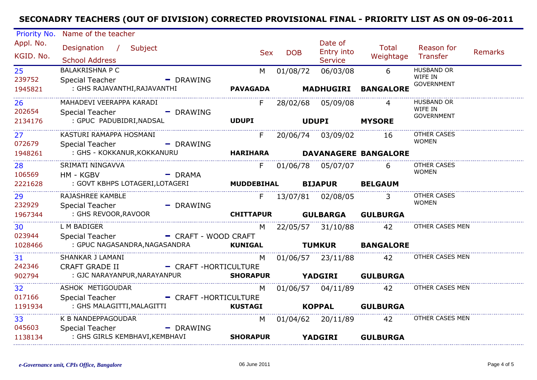| Priority No.                   | Name of the teacher                                       |                      |                   |                         |                                         |                             |                                                   |         |
|--------------------------------|-----------------------------------------------------------|----------------------|-------------------|-------------------------|-----------------------------------------|-----------------------------|---------------------------------------------------|---------|
| Appl. No.<br>KGID. No.         | Designation / Subject<br><b>School Address</b>            |                      | <b>Sex</b>        | <b>DOB</b>              | Date of<br>Entry into<br><b>Service</b> | Total<br>Weightage          | Reason for<br>Transfer                            | Remarks |
| 25<br>239752                   | <b>BALAKRISHNA P C</b><br><b>Special Teacher</b>          | - DRAWING            | M                 | 01/08/72                | 06/03/08                                | 6                           | <b>HUSBAND OR</b><br>WIFE IN<br><b>GOVERNMENT</b> |         |
| 1945821                        | : GHS RAJAVANTHI, RAJAVANTHI                              |                      | <b>PAVAGADA</b>   |                         |                                         | MADHUGIRI BANGALORE         |                                                   |         |
| 26<br>202654                   | MAHADEVI VEERAPPA KARADI<br><b>Special Teacher</b>        | - DRAWING            | F.                |                         | 28/02/68 05/09/08                       | 4                           | <b>HUSBAND OR</b><br>WIFE IN                      |         |
| 2134176<br>------------------- | : GPUC PADUBIDRI, NADSAL                                  |                      | <b>UDUPI</b>      |                         | UDUPI MYSORE                            |                             | <b>GOVERNMENT</b>                                 |         |
| 27 <sub>2</sub><br>072679      | KASTURI RAMAPPA HOSMANI<br><b>Special Teacher</b>         | - DRAWING            | F                 |                         | 20/06/74 03/09/02 16                    |                             | OTHER CASES<br><b>WOMEN</b>                       |         |
| 1948261                        | : GHS - KOKKANUR, KOKKANURU                               |                      | <b>HARIHARA</b>   |                         |                                         | <b>DAVANAGERE BANGALORE</b> |                                                   |         |
| 28<br>106569                   | SRIMATI NINGAVVA<br>HM - KGBV                             | $-$ DRAMA            | F.                |                         |                                         | 6                           | <b>OTHER CASES</b><br><b>WOMEN</b>                |         |
| 2221628                        | : GOVT KBHPS LOTAGERI, LOTAGERI                           |                      | <b>MUDDEBIHAL</b> |                         | <b>BIJAPUR BELGAUM</b>                  |                             |                                                   |         |
| 29<br>232929                   | RAJASHREE KAMBLE<br><b>Special Teacher</b>                | - DRAWING            |                   |                         | F 13/07/81 02/08/05                     | $\overline{3}$              | OTHER CASES<br><b>WOMEN</b>                       |         |
| 1967344                        | : GHS REVOOR,RAVOOR                                       |                      | <b>CHITTAPUR</b>  |                         |                                         | <b>GULBARGA GULBURGA</b>    |                                                   |         |
| 30<br>023944                   | L M BADIGER<br>Special Teacher                            | - CRAFT - WOOD CRAFT | M l               |                         | 22/05/57 31/10/88                       | 42                          | OTHER CASES MEN                                   |         |
| 1028466<br>.                   | : GPUC NAGASANDRA, NAGASANDRA <b>KUNIGAL</b>              |                      |                   |                         |                                         | <b>TUMKUR BANGALORE</b>     |                                                   |         |
| 31<br>242346                   | SHANKAR J LAMANI<br>CRAFT GRADE II - CRAFT - HORTICULTURE |                      | M                 |                         | 01/06/57 23/11/88                       | 42                          | OTHER CASES MEN                                   |         |
| 902794                         | : GJC NARAYANPUR, NARAYANPUR                              |                      | <b>SHORAPUR</b>   | <b>TEXABLE TRADGERI</b> |                                         | <b>GULBURGA</b>             |                                                   |         |
| 32<br>017166                   | ASHOK METIGOUDAR                                          |                      |                   |                         | M 01/06/57 04/11/89                     | 42                          | OTHER CASES MEN                                   |         |
| 1191934                        | Special Teacher<br>: GHS MALAGITTI, MALAGITTI             | - CRAFT-HORTICULTURE | <b>KUSTAGI</b>    |                         | <b>KOPPAL</b>                           | <b>GULBURGA</b>             |                                                   |         |
| 33<br>045603                   | K B NANDEPPAGOUDAR<br>Special Teacher                     | - DRAWING            |                   |                         | M 01/04/62 20/11/89                     | 42                          | OTHER CASES MEN                                   |         |
| 1138134                        | : GHS GIRLS KEMBHAVI, KEMBHAVI                            |                      | <b>SHORAPUR</b>   |                         | <b>YADGIRI</b>                          | <b>GULBURGA</b>             |                                                   |         |